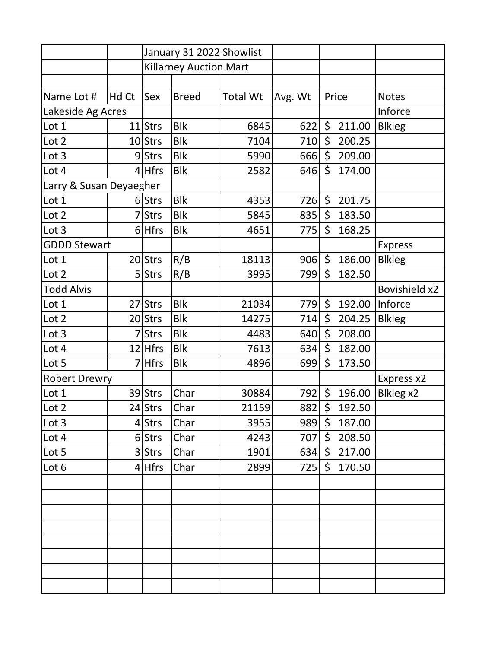|                         |       | January 31 2022 Showlist      |              |                 |         |              |        |                      |
|-------------------------|-------|-------------------------------|--------------|-----------------|---------|--------------|--------|----------------------|
|                         |       | <b>Killarney Auction Mart</b> |              |                 |         |              |        |                      |
|                         |       |                               |              |                 |         |              |        |                      |
| Name Lot #              | Hd Ct | Sex                           | <b>Breed</b> | <b>Total Wt</b> | Avg. Wt |              | Price  | <b>Notes</b>         |
| Lakeside Ag Acres       |       |                               |              |                 |         |              |        | Inforce              |
| Lot 1                   |       | $11$ Strs                     | <b>Blk</b>   | 6845            | 622     | \$           | 211.00 | <b>Blkleg</b>        |
| Lot 2                   |       | 10 Strs                       | <b>Blk</b>   | 7104            | 710     | \$           | 200.25 |                      |
| Lot 3                   |       | 9Strs                         | <b>Blk</b>   | 5990            | 666     | \$           | 209.00 |                      |
| Lot 4                   |       | $4$ Hfrs                      | <b>Blk</b>   | 2582            | 646     | \$           | 174.00 |                      |
| Larry & Susan Deyaegher |       |                               |              |                 |         |              |        |                      |
| Lot 1                   |       | 6Strs                         | <b>Blk</b>   | 4353            | 726     | \$           | 201.75 |                      |
| Lot 2                   |       | <b>Strs</b>                   | <b>Blk</b>   | 5845            | 835     | \$           | 183.50 |                      |
| Lot 3                   |       | $6$ Hfrs                      | <b>Blk</b>   | 4651            | 775     | \$           | 168.25 |                      |
| <b>GDDD Stewart</b>     |       |                               |              |                 |         |              |        | <b>Express</b>       |
| Lot 1                   |       | $20$ Strs                     | R/B          | 18113           | 906     | $\zeta$      | 186.00 | <b>Blkleg</b>        |
| Lot 2                   |       | 5 Strs                        | R/B          | 3995            | 799     | \$           | 182.50 |                      |
| <b>Todd Alvis</b>       |       |                               |              |                 |         |              |        | <b>Bovishield x2</b> |
| Lot 1                   |       | 27 Strs                       | <b>Blk</b>   | 21034           | 779     | $\zeta$      | 192.00 | Inforce              |
| Lot 2                   |       | 20 Strs                       | <b>Blk</b>   | 14275           | 714     | \$           | 204.25 | <b>Blkleg</b>        |
| Lot 3                   |       | <b>Strs</b>                   | <b>Blk</b>   | 4483            | 640     | \$           | 208.00 |                      |
| Lot 4                   |       | $12$ Hfrs                     | <b>Blk</b>   | 7613            | 634     | \$           | 182.00 |                      |
| Lot 5                   |       | <b>Hfrs</b>                   | <b>Blk</b>   | 4896            | 699     | \$           | 173.50 |                      |
| <b>Robert Drewry</b>    |       |                               |              |                 |         |              |        | Express x2           |
| Lot 1                   |       | 39 Strs                       | Char         | 30884           | 792     | \$           | 196.00 | Blkleg x2            |
| Lot 2                   |       | 24 Strs                       | Char         | 21159           | 882     | \$           | 192.50 |                      |
| Lot 3                   |       | 4 Strs                        | Char         | 3955            | 989     | \$           | 187.00 |                      |
| Lot 4                   |       | 6 Strs                        | Char         | 4243            | 707     | \$           | 208.50 |                      |
| Lot 5                   |       | 3 Strs                        | Char         | 1901            | 634     | \$           | 217.00 |                      |
| Lot 6                   |       | $4$ Hfrs                      | Char         | 2899            | 725     | $\mathsf{S}$ | 170.50 |                      |
|                         |       |                               |              |                 |         |              |        |                      |
|                         |       |                               |              |                 |         |              |        |                      |
|                         |       |                               |              |                 |         |              |        |                      |
|                         |       |                               |              |                 |         |              |        |                      |
|                         |       |                               |              |                 |         |              |        |                      |
|                         |       |                               |              |                 |         |              |        |                      |
|                         |       |                               |              |                 |         |              |        |                      |
|                         |       |                               |              |                 |         |              |        |                      |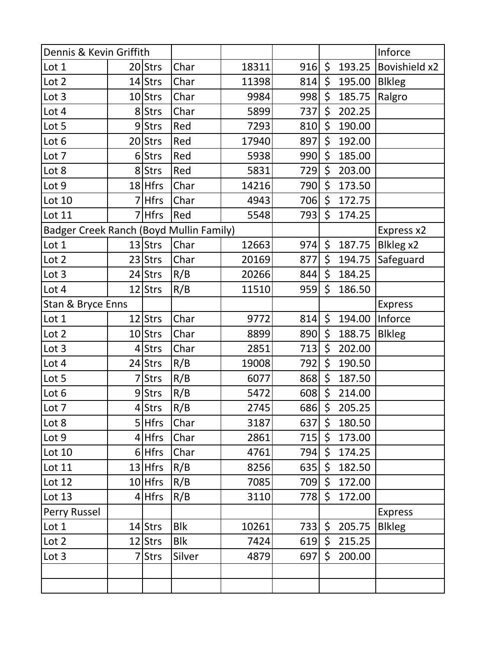| Dennis & Kevin Griffith                 |  |             |            |       |              |                | Inforce      |                      |
|-----------------------------------------|--|-------------|------------|-------|--------------|----------------|--------------|----------------------|
| Lot 1                                   |  | $20$ Strs   | Char       | 18311 | 916          | \$             | 193.25       | <b>Bovishield x2</b> |
| Lot 2                                   |  | 14 Strs     | Char       | 11398 | 814          | \$             | 195.00       | <b>Blkleg</b>        |
| Lot 3                                   |  | $10$ Strs   | Char       | 9984  | 998          | \$             | 185.75       | Ralgro               |
| Lot 4                                   |  | 8 Strs      | Char       | 5899  | 737          | \$             | 202.25       |                      |
| Lot 5                                   |  | 9Strs       | Red        | 7293  | 810          | \$             | 190.00       |                      |
| Lot 6                                   |  | $20$ Strs   | Red        | 17940 | 897          | \$             | 192.00       |                      |
| Lot 7                                   |  | $6$ Strs    | Red        | 5938  | 990          | \$             | 185.00       |                      |
| Lot 8                                   |  | 8 Strs      | Red        | 5831  | 729          | \$             | 203.00       |                      |
| Lot 9                                   |  | $18$ Hfrs   | Char       | 14216 | 790          | \$             | 173.50       |                      |
| Lot 10                                  |  | 7 Hfrs      | Char       | 4943  | 706          | \$             | 172.75       |                      |
| Lot 11                                  |  | 7 Hfrs      | Red        | 5548  | 793          | \$             | 174.25       |                      |
| Badger Creek Ranch (Boyd Mullin Family) |  |             |            |       |              |                |              | Express x2           |
| Lot 1                                   |  | $13$ Strs   | Char       | 12663 | 974          | \$             | 187.75       | Blkleg x2            |
| Lot 2                                   |  | $23$ Strs   | Char       | 20169 | 877          | \$             | 194.75       | Safeguard            |
| Lot 3                                   |  | 24 Strs     | R/B        | 20266 | 844          | \$             | 184.25       |                      |
| Lot 4                                   |  | 12 Strs     | R/B        | 11510 | 959          | \$             | 186.50       |                      |
| Stan & Bryce Enns                       |  |             |            |       |              |                |              | <b>Express</b>       |
| Lot 1                                   |  | $12$ Strs   | Char       | 9772  | 814          | \$             | 194.00       | Inforce              |
| Lot 2                                   |  | 10 Strs     | Char       | 8899  | 890          | \$             | 188.75       | <b>Blkleg</b>        |
| Lot 3                                   |  | <b>Strs</b> | Char       | 2851  | 713          | \$             | 202.00       |                      |
| Lot 4                                   |  | 24 Strs     | R/B        | 19008 | 792          | \$             | 190.50       |                      |
| Lot 5                                   |  | <b>Strs</b> | R/B        | 6077  | 868          | \$             | 187.50       |                      |
| Lot 6                                   |  | 9Strs       | R/B        | 5472  | 608          | \$             | 214.00       |                      |
| Lot 7                                   |  | 4Strs       | R/B        | 2745  | 686          | $\zeta$        | 205.25       |                      |
| Lot 8                                   |  | $5$ Hfrs    | Char       | 3187  | $637 \mid 5$ |                | 180.50       |                      |
| Lot 9                                   |  | $4$ Hfrs    | Char       | 2861  | 715   \$     |                | 173.00       |                      |
| Lot 10                                  |  | $6$ Hfrs    | Char       | 4761  | 794          | $\mathsf{S}^-$ | 174.25       |                      |
| Lot 11                                  |  | $13$ Hfrs   | R/B        | 8256  | 635          | $\zeta$        | 182.50       |                      |
| Lot 12                                  |  | $10$ Hfrs   | R/B        | 7085  | 709          | $\mathsf{S}^-$ | 172.00       |                      |
| Lot 13                                  |  | $4$ Hfrs    | R/B        | 3110  | 778          | $\mathsf{S}^-$ | 172.00       |                      |
| Perry Russel                            |  |             |            |       |              |                |              | <b>Express</b>       |
| Lot 1                                   |  | $14$ Strs   | <b>Blk</b> | 10261 |              |                | 733 \$205.75 | <b>Blkleg</b>        |
| Lot 2                                   |  | $12$ Strs   | <b>Blk</b> | 7424  | 619          |                | \$215.25     |                      |
| Lot 3                                   |  | 7 Strs      | Silver     | 4879  | 697          |                | \$200.00     |                      |
|                                         |  |             |            |       |              |                |              |                      |
|                                         |  |             |            |       |              |                |              |                      |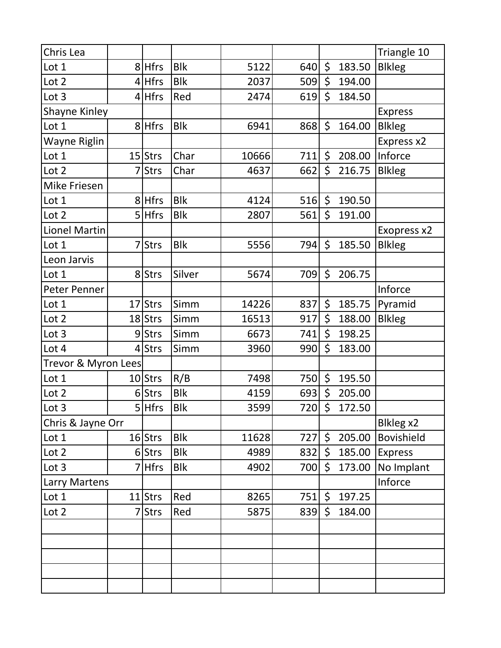| Chris Lea            |    |             |            |       |              |         |        | Triangle 10       |
|----------------------|----|-------------|------------|-------|--------------|---------|--------|-------------------|
| Lot 1                |    | 8 Hfrs      | <b>Blk</b> | 5122  | 640          | $\zeta$ | 183.50 | <b>Blkleg</b>     |
| Lot 2                |    | $4$ Hfrs    | <b>Blk</b> | 2037  | 509          | \$      | 194.00 |                   |
| Lot 3                |    | $4$ Hfrs    | Red        | 2474  | 619          | \$      | 184.50 |                   |
| <b>Shayne Kinley</b> |    |             |            |       |              |         |        | <b>Express</b>    |
| Lot 1                |    | 8 Hfrs      | <b>Blk</b> | 6941  | 868          | \$      | 164.00 | <b>Blkleg</b>     |
| Wayne Riglin         |    |             |            |       |              |         |        | Express x2        |
| Lot 1                |    | $15$ Strs   | Char       | 10666 | 711          | \$      | 208.00 | Inforce           |
| Lot 2                |    | <b>Strs</b> | Char       | 4637  | 662          | \$      | 216.75 | <b>Blkleg</b>     |
| <b>Mike Friesen</b>  |    |             |            |       |              |         |        |                   |
| Lot 1                |    | 8 Hfrs      | <b>Blk</b> | 4124  | 516          | \$      | 190.50 |                   |
| Lot 2                |    | 5 Hfrs      | <b>Blk</b> | 2807  | 561          | \$      | 191.00 |                   |
| <b>Lionel Martin</b> |    |             |            |       |              |         |        | Exopress x2       |
| Lot 1                |    | <b>Strs</b> | <b>Blk</b> | 5556  | 794          | \$      | 185.50 | <b>Blkleg</b>     |
| Leon Jarvis          |    |             |            |       |              |         |        |                   |
| Lot 1                |    | 8 Strs      | Silver     | 5674  | 709          | \$      | 206.75 |                   |
| Peter Penner         |    |             |            |       |              |         |        | Inforce           |
| Lot 1                | 17 | Strs        | Simm       | 14226 | 837          | $\zeta$ | 185.75 | Pyramid           |
| Lot 2                |    | 18 Strs     | Simm       | 16513 | 917          | \$      | 188.00 | <b>Blkleg</b>     |
| Lot 3                |    | 9 Strs      | Simm       | 6673  | 741          | \$      | 198.25 |                   |
| Lot 4                |    | 4 Strs      | Simm       | 3960  | 990          | \$      | 183.00 |                   |
| Trevor & Myron Lees  |    |             |            |       |              |         |        |                   |
| Lot 1                |    | 10 Strs     | R/B        | 7498  | 750          | \$      | 195.50 |                   |
| Lot 2                |    | 6 Strs      | <b>Blk</b> | 4159  | 693          | \$      | 205.00 |                   |
| Lot 3                |    | 5 Hfrs      | <b>Blk</b> | 3599  | 720          | \$      | 172.50 |                   |
| Chris & Jayne Orr    |    |             |            |       |              |         |        | Blkleg x2         |
| Lot 1                |    | $16$ Strs   | <b>Blk</b> | 11628 | $727 \mid 5$ |         | 205.00 | <b>Bovishield</b> |
| Lot 2                |    | 6 Strs      | <b>Blk</b> | 4989  | 832          | \$      | 185.00 | <b>Express</b>    |
| Lot 3                |    | 7 Hfrs      | <b>Blk</b> | 4902  | 700          | \$      | 173.00 | No Implant        |
| Larry Martens        |    |             |            |       |              |         |        | Inforce           |
| Lot 1                |    | $11$ Strs   | Red        | 8265  | 751          | \$      | 197.25 |                   |
| Lot 2                |    | <b>Strs</b> | Red        | 5875  | 839          | $\zeta$ | 184.00 |                   |
|                      |    |             |            |       |              |         |        |                   |
|                      |    |             |            |       |              |         |        |                   |
|                      |    |             |            |       |              |         |        |                   |
|                      |    |             |            |       |              |         |        |                   |
|                      |    |             |            |       |              |         |        |                   |